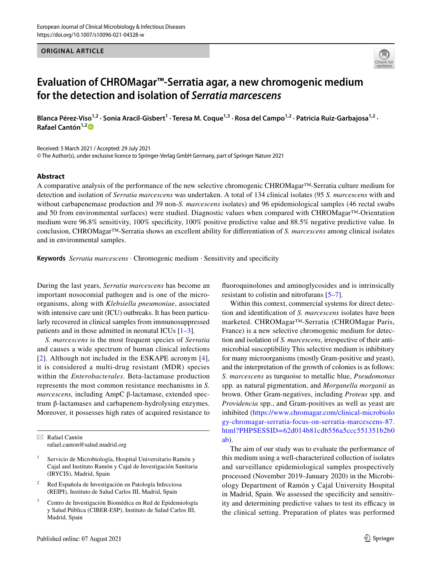## **ORIGINAL ARTICLE**



# **Evaluation of CHROMagar™‑Serratia agar, a new chromogenic medium for the detection and isolation of** *Serratia marcescens*

Blanca Pérez-Viso<sup>1,2</sup> · Sonia Aracil-Gisbert<sup>1</sup> · Teresa M. Coque<sup>1,3</sup> · Rosa del Campo<sup>1,2</sup> · Patricia Ruiz-Garbajosa<sup>1,2</sup> · **Rafael Cantón1,[2](http://orcid.org/0000-0003-1675-3173)**

Received: 5 March 2021 / Accepted: 29 July 2021

© The Author(s), under exclusive licence to Springer-Verlag GmbH Germany, part of Springer Nature 2021

## **Abstract**

A comparative analysis of the performance of the new selective chromogenic CHROMagar™-Serratia culture medium for detection and isolation of *Serratia marcescens* was undertaken. A total of 134 clinical isolates (95 *S. marcescens* with and without carbapenemase production and 39 non-*S. marcescens* isolates) and 96 epidemiological samples (46 rectal swabs and 50 from environmental surfaces) were studied. Diagnostic values when compared with CHROMagar™-Orientation medium were 96.8% sensitivity, 100% specificity, 100% positive predictive value and 88.5% negative predictive value. In conclusion, CHROMagar™-Serratia shows an excellent ability for diferentiation of *S. marcescens* among clinical isolates and in environmental samples.

**Keywords** *Serratia marcescens* · Chromogenic medium · Sensitivity and specifcity

During the last years, *Serratia marcescens* has become an important nosocomial pathogen and is one of the microorganisms, along with *Klebsiella pneumoniae*, associated with intensive care unit (ICU) outbreaks. It has been particularly recovered in clinical samples from immunosuppressed patients and in those admitted in neonatal ICUs [\[1](#page-3-0)[–3](#page-3-1)].

*S. marcescens* is the most frequent species of *Serratia* and causes a wide spectrum of human clinical infections [[2\]](#page-3-2). Although not included in the ESKAPE acronym [[4](#page-3-3)], it is considered a multi-drug resistant (MDR) species within the *Enterobacterales.* Beta-lactamase production represents the most common resistance mechanisms in *S. marcescens,* including AmpC β-lactamase, extended spectrum β-lactamases and carbapenem-hydrolysing enzymes. Moreover, it possesses high rates of acquired resistance to fuoroquinolones and aminoglycosides and is intrinsically resistant to colistin and nitrofurans [[5](#page-3-4)[–7](#page-3-5)].

Within this context, commercial systems for direct detection and identifcation of *S. marcescens* isolates have been marketed. CHROMagar™-Serratia (CHROMagar Paris, France) is a new selective chromogenic medium for detection and isolation of *S. marcescens*, irrespective of their antimicrobial susceptibility This selective medium is inhibitory for many microorganisms (mostly Gram-positive and yeast), and the interpretation of the growth of colonies is as follows: *S. marcescens* as turquoise to metallic blue, *Pseudomonas* spp*.* as natural pigmentation, and *Morganella morganii* as brown. Other Gram-negatives, including *Proteus* spp. and *Providencia* spp., and Gram-positives as well as yeast are inhibited ([https://www.chromagar.com/clinical-microbiolo](https://www.chromagar.com/clinical-microbiology-chromagar-serratia-focus-on-serratia-marcescens-87.html?PHPSESSID=62d014b81cdb556a5ccc551351b2b0ab) [gy-chromagar-serratia-focus-on-serratia-marcescens-87.](https://www.chromagar.com/clinical-microbiology-chromagar-serratia-focus-on-serratia-marcescens-87.html?PHPSESSID=62d014b81cdb556a5ccc551351b2b0ab) [html?PHPSESSID=62d014b81cdb556a5ccc551351b2b0](https://www.chromagar.com/clinical-microbiology-chromagar-serratia-focus-on-serratia-marcescens-87.html?PHPSESSID=62d014b81cdb556a5ccc551351b2b0ab) [ab\)](https://www.chromagar.com/clinical-microbiology-chromagar-serratia-focus-on-serratia-marcescens-87.html?PHPSESSID=62d014b81cdb556a5ccc551351b2b0ab).

The aim of our study was to evaluate the performance of this medium using a well-characterized collection of isolates and surveillance epidemiological samples prospectively processed (November 2019–January 2020) in the Microbiology Department of Ramón y Cajal University Hospital in Madrid, Spain. We assessed the specifcity and sensitivity and determining predictive values to test its efficacy in the clinical setting. Preparation of plates was performed

 $\boxtimes$  Rafael Cantón rafael.canton@salud.madrid.org

Servicio de Microbiología, Hospital Universitario Ramón y Cajal and Instituto Ramón y Cajal de Investigación Sanitaria (IRYCIS), Madrid, Spain

<sup>2</sup> Red Española de Investigación en Patología Infecciosa (REIPI), Instituto de Salud Carlos III, Madrid, Spain

<sup>3</sup> Centro de Investigación Biomédica en Red de Epidemiología y Salud Pública (CIBER-ESP), Instituto de Salud Carlos III, Madrid, Spain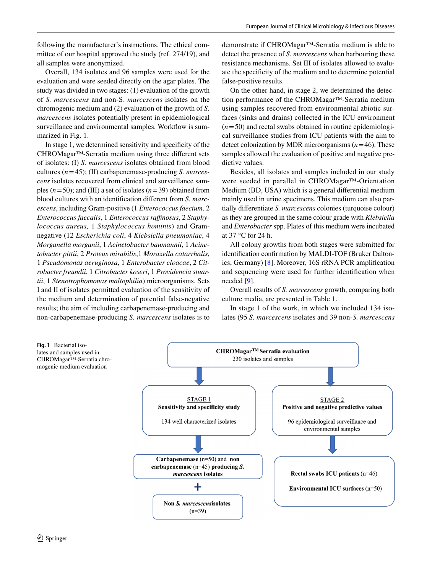following the manufacturer's instructions. The ethical committee of our hospital approved the study (ref. 274/19), and all samples were anonymized.

Overall, 134 isolates and 96 samples were used for the evaluation and were seeded directly on the agar plates. The study was divided in two stages: (1) evaluation of the growth of *S. marcescens* and non-S. *marcescens* isolates on the chromogenic medium and (2) evaluation of the growth of *S. marcescens* isolates potentially present in epidemiological surveillance and environmental samples. Workflow is summarized in Fig. [1.](#page-1-0)

In stage 1, we determined sensitivity and specifcity of the CHROMagar™-Serratia medium using three diferent sets of isolates: (I) *S. marcescens* isolates obtained from blood cultures (*n*=45); (II) carbapenemase-producing *S. marcescens* isolates recovered from clinical and surveillance samples (*n*=50); and (III) a set of isolates (*n*=39) obtained from blood cultures with an identifcation diferent from *S. marcescens*, including Gram-positive (1 *Enterococcus faecium*, 2 *Enterococcus faecalis*, 1 *Enterococcus rafnosus*, 2 *Staphylococcus aureus,* 1 *Staphylococcus hominis*) and Gramnegative (12 *Escherichia coli*, 4 *Klebsiella pneumoniae*, 4 *Morganella morganii*, 1 *Acinetobacter baumannii*, 1 *Acinetobacter pittii*, 2 *Proteus mirabilis*,1 *Moraxella catarrhalis*, 1 *Pseudomonas aeruginosa*, 1 *Enterobacter cloacae*, 2 *Citrobacter freundii*, 1 *Citrobacter koseri*, 1 *Providencia stuartii*, 1 *Stenotrophomonas maltophilia*) microorganisms. Sets I and II of isolates permitted evaluation of the sensitivity of the medium and determination of potential false-negative results; the aim of including carbapenemase-producing and non-carbapenemase-producing *S. marcescens* isolates is to demonstrate if CHROMagar™-Serratia medium is able to detect the presence of *S. marcescens* when harbouring these resistance mechanisms. Set III of isolates allowed to evaluate the specifcity of the medium and to determine potential false-positive results.

On the other hand, in stage 2, we determined the detection performance of the CHROMagar™-Serratia medium using samples recovered from environmental abiotic surfaces (sinks and drains) collected in the ICU environment  $(n=50)$  and rectal swabs obtained in routine epidemiological surveillance studies from ICU patients with the aim to detect colonization by MDR microorganisms (*n*=46). These samples allowed the evaluation of positive and negative predictive values.

Besides, all isolates and samples included in our study were seeded in parallel in CHROMagar™-Orientation Medium (BD, USA) which is a general diferential medium mainly used in urine specimens. This medium can also partially diferentiate *S. marcescens* colonies (turquoise colour) as they are grouped in the same colour grade with *Klebsiella* and *Enterobacter* spp. Plates of this medium were incubated at 37 °C for 24 h.

All colony growths from both stages were submitted for identifcation confrmation by MALDI-TOF (Bruker Daltonics, Germany) [\[8\]](#page-3-6). Moreover, 16S rRNA PCR amplifcation and sequencing were used for further identifcation when needed [[9\]](#page-3-7).

Overall results of *S. marcescens* growth, comparing both culture media, are presented in Table [1.](#page-2-0)

In stage 1 of the work, in which we included 134 isolates (95 *S. marcescens* isolates and 39 non-*S. marcescens*

<span id="page-1-0"></span>

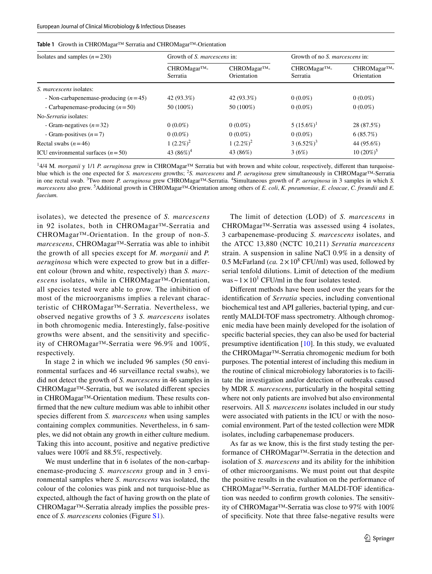<span id="page-2-0"></span>

|  |  |  |  | Table 1 Growth in CHROMagar™ Serratia and CHROMagar™-Orientation |  |
|--|--|--|--|------------------------------------------------------------------|--|
|--|--|--|--|------------------------------------------------------------------|--|

| Isolates and samples $(n=230)$         | Growth of S. marcescens in: |                            | Growth of no S. <i>marcescens</i> in: |                            |
|----------------------------------------|-----------------------------|----------------------------|---------------------------------------|----------------------------|
|                                        | CHROMagar™-<br>Serratia     | CHROMagar™-<br>Orientation | CHROMagar™-<br>Serratia               | CHROMagar™-<br>Orientation |
| <i>S. marcescens</i> isolates:         |                             |                            |                                       |                            |
| - Non-carbapenemase-producing $(n=45)$ | 42 (93.3%)                  | 42 (93.3%)                 | $0(0.0\%)$                            | $0(0.0\%)$                 |
| - Carbapenemase-producing $(n=50)$     | 50 (100%)                   | 50 (100%)                  | $0(0.0\%)$                            | $0(0.0\%)$                 |
| No-Serratia isolates:                  |                             |                            |                                       |                            |
| - Gram-negatives $(n=32)$              | $0(0.0\%)$                  | $0(0.0\%)$                 | $5(15.6\%)$ <sup>1</sup>              | 28 (87.5%)                 |
| - Gram-positives $(n=7)$               | $0(0.0\%)$                  | $0(0.0\%)$                 | $0(0.0\%)$                            | 6(85.7%)                   |
| Rectal swabs $(n=46)$                  | 1 $(2.2\%)^2$               | $1(2.2\%)^2$               | $3(6.52\%)^3$                         | 44 (95.6%)                 |
| ICU environmental surfaces $(n=50)$    | 43 $(86\%)^4$               | 43 (86%)                   | 3(6%)                                 | $10(20\%)^5$               |

<sup>1</sup>4/4 M. *morganii* y 1/1 *P. aeruginosa* grew in CHROMagar<sup>™</sup> Serratia but with brown and white colour, respectively, different than turquoiseblue which is the one expected for *S. marcescens* growths; <sup>2</sup> *S. marcescens* and *P. aeruginosa* grew simultaneously in CHROMagar™-Serratia in one rectal swab. <sup>3</sup> Two more *P. aeruginosa* grew CHROMagar™-Serratia. <sup>4</sup> Simultaneous growth of *P. aeruginosa* in 3 samples in which *S. marcescens* also grew. <sup>5</sup> Additional growth in CHROMagar™-Orientation among others of *E. coli*, *K. pneumoniae*, *E. cloacae*, *C. freundii* and *E. faecium.*

isolates), we detected the presence of *S. marcescens* in 92 isolates, both in CHROMagar™-Serratia and CHROMagar™-Orientation. In the group of non-*S. marcescens*, CHROMagar™-Serratia was able to inhibit the growth of all species except for *M. morganii* and *P. aeruginosa* which were expected to grow but in a diferent colour (brown and white, respectively) than *S. marcescens* isolates, while in CHROMagar™-Orientation, all species tested were able to grow. The inhibition of most of the microorganisms implies a relevant characteristic of CHROMagar™-Serratia. Nevertheless, we observed negative growths of 3 *S. marcescens* isolates in both chromogenic media. Interestingly, false-positive growths were absent, and the sensitivity and specifcity of CHROMagar™-Serratia were 96.9% and 100%, respectively.

In stage 2 in which we included 96 samples (50 environmental surfaces and 46 surveillance rectal swabs), we did not detect the growth of *S. marcescens* in 46 samples in CHROMagar™-Serratia, but we isolated diferent species in CHROMagar™-Orientation medium. These results confrmed that the new culture medium was able to inhibit other species diferent from *S. marcescens* when using samples containing complex communities. Nevertheless, in 6 samples, we did not obtain any growth in either culture medium. Taking this into account, positive and negative predictive values were 100% and 88.5%, respectively.

We must underline that in 6 isolates of the non-carbapenemase-producing *S. marcescens* group and in 3 environmental samples where *S. marcescens* was isolated, the colour of the colonies was pink and not turquoise-blue as expected, although the fact of having growth on the plate of CHROMagar™-Serratia already implies the possible presence of *S. marcescens* colonies (Figure S1).

The limit of detection (LOD) of *S. marcescens* in CHROMagar™-Serratia was assessed using 4 isolates, 3 carbapenemase-producing *S. marcescens* isolates, and the ATCC 13,880 (NCTC 10,211) *Serratia marcescens* strain. A suspension in saline NaCl 0.9% in a density of 0.5 McFarland (*ca.*  $2 \times 10^8$  CFU/ml) was used, followed by serial tenfold dilutions. Limit of detection of the medium was  $\sim$  1  $\times$  10<sup>1</sup> CFU/ml in the four isolates tested.

Diferent methods have been used over the years for the identifcation of *Serratia* species, including conventional biochemical test and API galleries, bacterial typing, and currently MALDI-TOF mass spectrometry. Although chromogenic media have been mainly developed for the isolation of specifc bacterial species, they can also be used for bacterial presumptive identifcation [[10](#page-3-8)]. In this study, we evaluated the CHROMagar™-Serratia chromogenic medium for both purposes. The potential interest of including this medium in the routine of clinical microbiology laboratories is to facilitate the investigation and/or detection of outbreaks caused by MDR *S. marcescens*, particularly in the hospital setting where not only patients are involved but also environmental reservoirs. All *S. marcescens* isolates included in our study were associated with patients in the ICU or with the nosocomial environment. Part of the tested collection were MDR isolates, including carbapenemase producers.

As far as we know, this is the frst study testing the performance of CHROMagar™-Serratia in the detection and isolation of *S. marcescens* and its ability for the inhibition of other microorganisms. We must point out that despite the positive results in the evaluation on the performance of CHROMagar™-Serratia, further MALDI-TOF identifcation was needed to confrm growth colonies. The sensitivity of CHROMagar™-Serratia was close to 97% with 100% of specifcity. Note that three false-negative results were